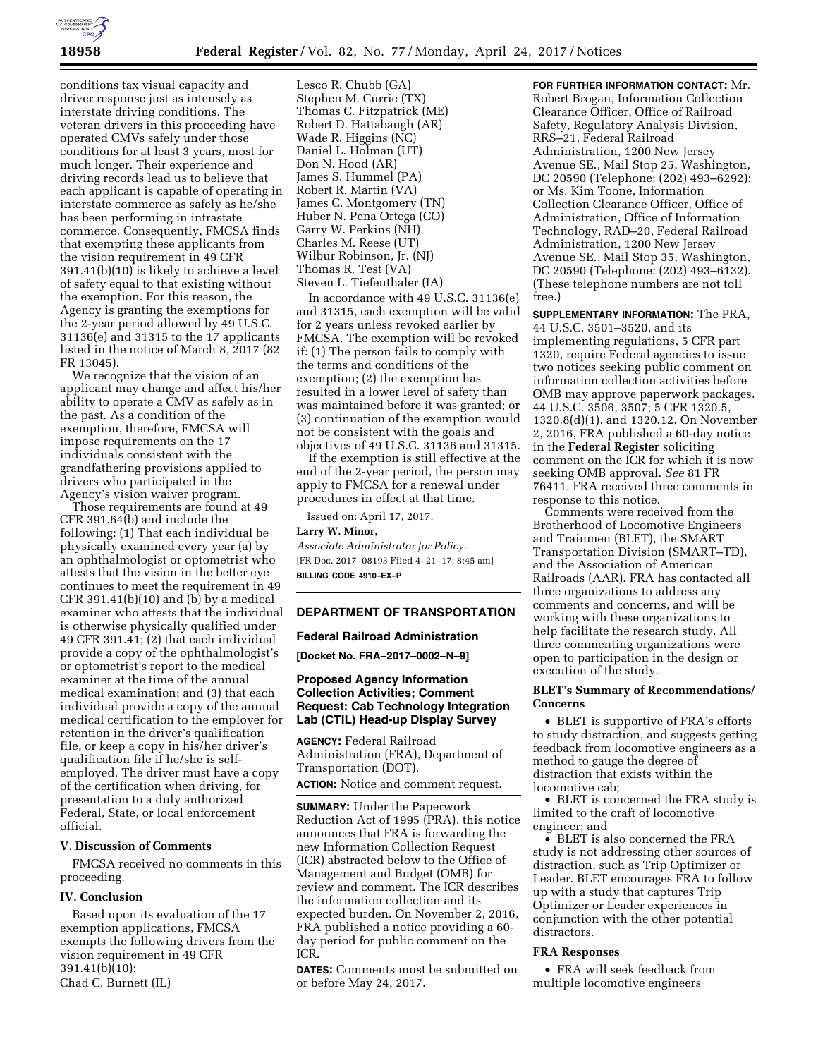

conditions tax visual capacity and driver response just as intensely as interstate driving conditions. The veteran drivers in this proceeding have operated CMVs safely under those conditions for at least 3 years, most for much longer. Their experience and driving records lead us to believe that each applicant is capable of operating in interstate commerce as safely as he/she has been performing in intrastate commerce. Consequently, FMCSA finds that exempting these applicants from the vision requirement in 49 CFR 391.41(b)(10) is likely to achieve a level of safety equal to that existing without the exemption. For this reason, the Agency is granting the exemptions for the 2-year period allowed by 49 U.S.C. 31136(e) and 31315 to the 17 applicants listed in the notice of March 8, 2017 (82 FR 13045).

We recognize that the vision of an applicant may change and affect his/her ability to operate a CMV as safely as in the past. As a condition of the exemption, therefore, FMCSA will impose requirements on the 17 individuals consistent with the grandfathering provisions applied to drivers who participated in the Agency's vision waiver program.

Those requirements are found at 49 CFR 391.64(b) and include the following: (1) That each individual be physically examined every year (a) by an ophthalmologist or optometrist who attests that the vision in the better eye continues to meet the requirement in 49 CFR 391.41(b)(10) and (b) by a medical examiner who attests that the individual is otherwise physically qualified under 49 CFR 391.41; (2) that each individual provide a copy of the ophthalmologist's or optometrist's report to the medical examiner at the time of the annual medical examination; and (3) that each individual provide a copy of the annual medical certification to the employer for retention in the driver's qualification file, or keep a copy in his/her driver's qualification file if he/she is selfemployed. The driver must have a copy of the certification when driving, for presentation to a duly authorized Federal, State, or local enforcement official.

# **V. Discussion of Comments**

FMCSA received no comments in this proceeding.

#### **IV. Conclusion**

Based upon its evaluation of the 17 exemption applications, FMCSA exempts the following drivers from the vision requirement in 49 CFR 391.41(b)(10): Chad C. Burnett (IL)

Lesco R. Chubb (GA) Stephen M. Currie (TX) Thomas C. Fitzpatrick (ME) Robert D. Hattabaugh (AR) Wade R. Higgins (NC) Daniel L. Holman (UT) Don N. Hood (AR) James S. Hummel (PA) Robert R. Martin (VA) James C. Montgomery (TN) Huber N. Pena Ortega (CO) Garry W. Perkins (NH) Charles M. Reese (UT) Wilbur Robinson, Jr. (NJ) Thomas R. Test (VA) Steven L. Tiefenthaler (IA)

In accordance with 49 U.S.C. 31136(e) and 31315, each exemption will be valid for 2 years unless revoked earlier by FMCSA. The exemption will be revoked if: (1) The person fails to comply with the terms and conditions of the exemption; (2) the exemption has resulted in a lower level of safety than was maintained before it was granted; or (3) continuation of the exemption would not be consistent with the goals and objectives of 49 U.S.C. 31136 and 31315.

If the exemption is still effective at the end of the 2-year period, the person may apply to FMCSA for a renewal under procedures in effect at that time.

Issued on: April 17, 2017.

### **Larry W. Minor,**

*Associate Administrator for Policy.*  [FR Doc. 2017–08193 Filed 4–21–17; 8:45 am] **BILLING CODE 4910–EX–P** 

#### **DEPARTMENT OF TRANSPORTATION**

### **Federal Railroad Administration**

**[Docket No. FRA–2017–0002–N–9]** 

## **Proposed Agency Information Collection Activities; Comment Request: Cab Technology Integration Lab (CTIL) Head-up Display Survey**

**AGENCY:** Federal Railroad Administration (FRA), Department of Transportation (DOT). **ACTION:** Notice and comment request.

**SUMMARY:** Under the Paperwork Reduction Act of 1995 (PRA), this notice announces that FRA is forwarding the new Information Collection Request (ICR) abstracted below to the Office of Management and Budget (OMB) for review and comment. The ICR describes the information collection and its expected burden. On November 2, 2016, FRA published a notice providing a 60 day period for public comment on the ICR.

**DATES:** Comments must be submitted on or before May 24, 2017.

**FOR FURTHER INFORMATION CONTACT:** Mr. Robert Brogan, Information Collection Clearance Officer, Office of Railroad Safety, Regulatory Analysis Division, RRS–21, Federal Railroad Administration, 1200 New Jersey Avenue SE., Mail Stop 25, Washington, DC 20590 (Telephone: (202) 493–6292); or Ms. Kim Toone, Information Collection Clearance Officer, Office of Administration, Office of Information Technology, RAD–20, Federal Railroad Administration, 1200 New Jersey Avenue SE., Mail Stop 35, Washington, DC 20590 (Telephone: (202) 493–6132). (These telephone numbers are not toll free.)

**SUPPLEMENTARY INFORMATION:** The PRA, 44 U.S.C. 3501–3520, and its implementing regulations, 5 CFR part 1320, require Federal agencies to issue two notices seeking public comment on information collection activities before OMB may approve paperwork packages. 44 U.S.C. 3506, 3507; 5 CFR 1320.5, 1320.8(d)(1), and 1320.12. On November 2, 2016, FRA published a 60-day notice in the **Federal Register** soliciting comment on the ICR for which it is now seeking OMB approval. *See* 81 FR 76411. FRA received three comments in response to this notice.

Comments were received from the Brotherhood of Locomotive Engineers and Trainmen (BLET), the SMART Transportation Division (SMART–TD), and the Association of American Railroads (AAR). FRA has contacted all three organizations to address any comments and concerns, and will be working with these organizations to help facilitate the research study. All three commenting organizations were open to participation in the design or execution of the study.

## **BLET's Summary of Recommendations/ Concerns**

• BLET is supportive of FRA's efforts to study distraction, and suggests getting feedback from locomotive engineers as a method to gauge the degree of distraction that exists within the locomotive cab;

• BLET is concerned the FRA study is limited to the craft of locomotive engineer; and

• BLET is also concerned the FRA study is not addressing other sources of distraction, such as Trip Optimizer or Leader. BLET encourages FRA to follow up with a study that captures Trip Optimizer or Leader experiences in conjunction with the other potential distractors.

### **FRA Responses**

• FRA will seek feedback from multiple locomotive engineers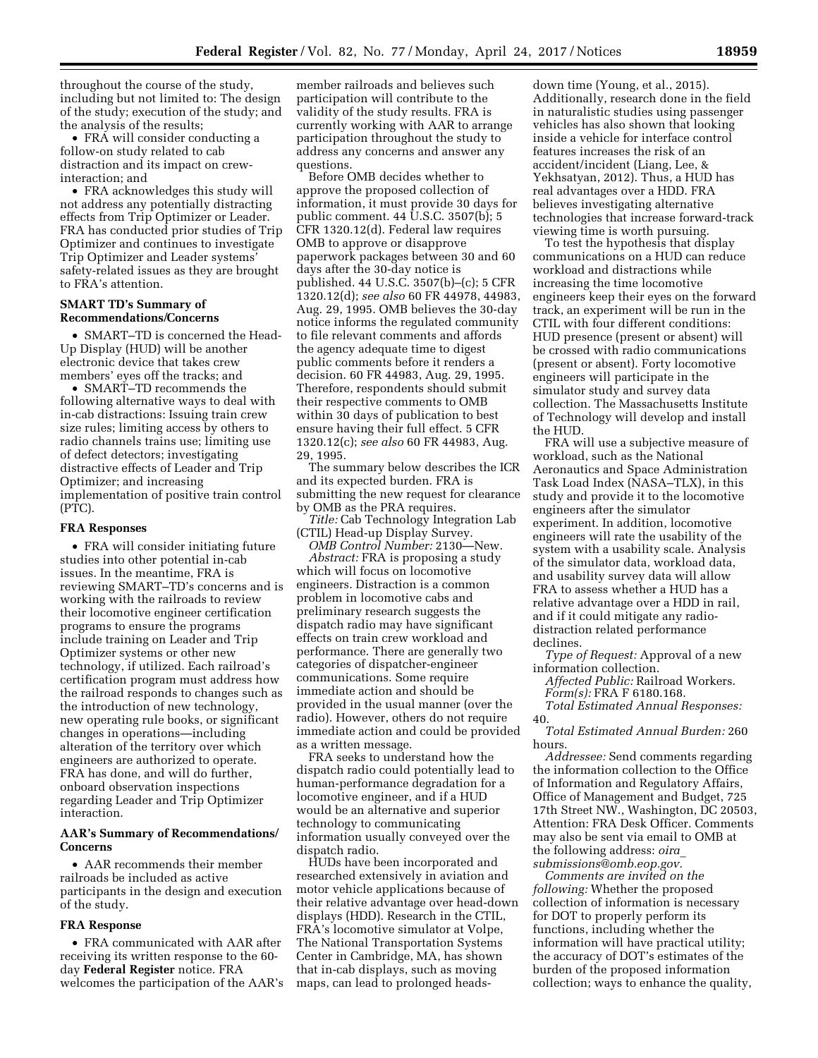throughout the course of the study, including but not limited to: The design of the study; execution of the study; and the analysis of the results;

• FRA will consider conducting a follow-on study related to cab distraction and its impact on crewinteraction; and

• FRA acknowledges this study will not address any potentially distracting effects from Trip Optimizer or Leader. FRA has conducted prior studies of Trip Optimizer and continues to investigate Trip Optimizer and Leader systems' safety-related issues as they are brought to FRA's attention.

# **SMART TD's Summary of Recommendations/Concerns**

• SMART–TD is concerned the Head-Up Display (HUD) will be another electronic device that takes crew members' eyes off the tracks; and

• SMART–TD recommends the following alternative ways to deal with in-cab distractions: Issuing train crew size rules; limiting access by others to radio channels trains use; limiting use of defect detectors; investigating distractive effects of Leader and Trip Optimizer; and increasing implementation of positive train control (PTC).

### **FRA Responses**

• FRA will consider initiating future studies into other potential in-cab issues. In the meantime, FRA is reviewing SMART–TD's concerns and is working with the railroads to review their locomotive engineer certification programs to ensure the programs include training on Leader and Trip Optimizer systems or other new technology, if utilized. Each railroad's certification program must address how the railroad responds to changes such as the introduction of new technology, new operating rule books, or significant changes in operations—including alteration of the territory over which engineers are authorized to operate. FRA has done, and will do further, onboard observation inspections regarding Leader and Trip Optimizer interaction.

#### **AAR's Summary of Recommendations/ Concerns**

• AAR recommends their member railroads be included as active participants in the design and execution of the study.

#### **FRA Response**

• FRA communicated with AAR after receiving its written response to the 60 day **Federal Register** notice. FRA welcomes the participation of the AAR's member railroads and believes such participation will contribute to the validity of the study results. FRA is currently working with AAR to arrange participation throughout the study to address any concerns and answer any questions.

Before OMB decides whether to approve the proposed collection of information, it must provide 30 days for public comment. 44 U.S.C. 3507(b); 5 CFR 1320.12(d). Federal law requires OMB to approve or disapprove paperwork packages between 30 and 60 days after the 30-day notice is published. 44 U.S.C. 3507(b)–(c); 5 CFR 1320.12(d); *see also* 60 FR 44978, 44983, Aug. 29, 1995. OMB believes the 30-day notice informs the regulated community to file relevant comments and affords the agency adequate time to digest public comments before it renders a decision. 60 FR 44983, Aug. 29, 1995. Therefore, respondents should submit their respective comments to OMB within 30 days of publication to best ensure having their full effect. 5 CFR 1320.12(c); *see also* 60 FR 44983, Aug. 29, 1995.

The summary below describes the ICR and its expected burden. FRA is submitting the new request for clearance by OMB as the PRA requires.

*Title:* Cab Technology Integration Lab (CTIL) Head-up Display Survey. *OMB Control Number:* 2130—New.

*Abstract:* FRA is proposing a study which will focus on locomotive engineers. Distraction is a common problem in locomotive cabs and preliminary research suggests the dispatch radio may have significant effects on train crew workload and performance. There are generally two categories of dispatcher-engineer communications. Some require immediate action and should be provided in the usual manner (over the radio). However, others do not require immediate action and could be provided as a written message.

FRA seeks to understand how the dispatch radio could potentially lead to human-performance degradation for a locomotive engineer, and if a HUD would be an alternative and superior technology to communicating information usually conveyed over the dispatch radio.

HUDs have been incorporated and researched extensively in aviation and motor vehicle applications because of their relative advantage over head-down displays (HDD). Research in the CTIL, FRA's locomotive simulator at Volpe, The National Transportation Systems Center in Cambridge, MA, has shown that in-cab displays, such as moving maps, can lead to prolonged heads-

down time (Young, et al., 2015). Additionally, research done in the field in naturalistic studies using passenger vehicles has also shown that looking inside a vehicle for interface control features increases the risk of an accident/incident (Liang, Lee, & Yekhsatyan, 2012). Thus, a HUD has real advantages over a HDD. FRA believes investigating alternative technologies that increase forward-track viewing time is worth pursuing.

To test the hypothesis that display communications on a HUD can reduce workload and distractions while increasing the time locomotive engineers keep their eyes on the forward track, an experiment will be run in the CTIL with four different conditions: HUD presence (present or absent) will be crossed with radio communications (present or absent). Forty locomotive engineers will participate in the simulator study and survey data collection. The Massachusetts Institute of Technology will develop and install the HUD.

FRA will use a subjective measure of workload, such as the National Aeronautics and Space Administration Task Load Index (NASA–TLX), in this study and provide it to the locomotive engineers after the simulator experiment. In addition, locomotive engineers will rate the usability of the system with a usability scale. Analysis of the simulator data, workload data, and usability survey data will allow FRA to assess whether a HUD has a relative advantage over a HDD in rail, and if it could mitigate any radiodistraction related performance declines.

*Type of Request:* Approval of a new information collection.

*Affected Public:* Railroad Workers. *Form(s):* FRA F 6180.168.

*Total Estimated Annual Responses:*  40.

*Total Estimated Annual Burden:* 260 hours.

*Addressee:* Send comments regarding the information collection to the Office of Information and Regulatory Affairs, Office of Management and Budget, 725 17th Street NW., Washington, DC 20503, Attention: FRA Desk Officer. Comments may also be sent via email to OMB at the following address: *[oira](mailto:oira_submissions@omb.eop.gov)*\_ *[submissions@omb.eop.gov.](mailto:oira_submissions@omb.eop.gov)* 

*Comments are invited on the following:* Whether the proposed collection of information is necessary for DOT to properly perform its functions, including whether the information will have practical utility; the accuracy of DOT's estimates of the burden of the proposed information collection; ways to enhance the quality,